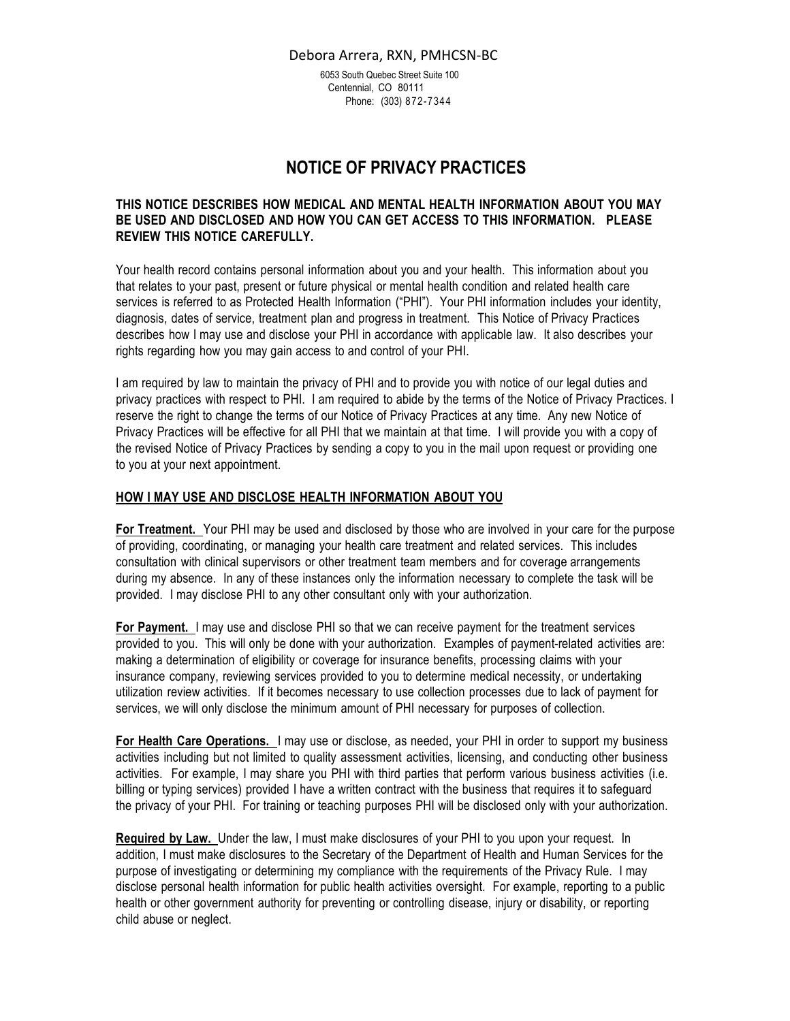6053 South Quebec Street Suite 100 Centennial, CO 80111 Phone: (303) 872-7344

# **NOTICE OF PRIVACY PRACTICES**

# **THIS NOTICE DESCRIBES HOW MEDICAL AND MENTAL HEALTH INFORMATION ABOUT YOU MAY BE USED AND DISCLOSED AND HOW YOU CAN GET ACCESS TO THIS INFORMATION. PLEASE REVIEW THIS NOTICE CAREFULLY.**

Your health record contains personal information about you and your health. This information about you that relates to your past, present or future physical or mental health condition and related health care services is referred to as Protected Health Information ("PHI"). Your PHI information includes your identity, diagnosis, dates of service, treatment plan and progress in treatment. This Notice of Privacy Practices describes how I may use and disclose your PHI in accordance with applicable law. It also describes your rights regarding how you may gain access to and control of your PHI.

I am required by law to maintain the privacy of PHI and to provide you with notice of our legal duties and privacy practices with respect to PHI. I am required to abide by the terms of the Notice of Privacy Practices. I reserve the right to change the terms of our Notice of Privacy Practices at any time. Any new Notice of Privacy Practices will be effective for all PHI that we maintain at that time. I will provide you with a copy of the revised Notice of Privacy Practices by sending a copy to you in the mail upon request or providing one to you at your next appointment.

## **HOW I MAY USE AND DISCLOSE HEALTH INFORMATION ABOUT YOU**

**For Treatment.** Your PHI may be used and disclosed by those who are involved in your care for the purpose of providing, coordinating, or managing your health care treatment and related services. This includes consultation with clinical supervisors or other treatment team members and for coverage arrangements during my absence. In any of these instances only the information necessary to complete the task will be provided. I may disclose PHI to any other consultant only with your authorization.

**For Payment.** I may use and disclose PHI so that we can receive payment for the treatment services provided to you. This will only be done with your authorization. Examples of payment-related activities are: making a determination of eligibility or coverage for insurance benefits, processing claims with your insurance company, reviewing services provided to you to determine medical necessity, or undertaking utilization review activities. If it becomes necessary to use collection processes due to lack of payment for services, we will only disclose the minimum amount of PHI necessary for purposes of collection.

**For Health Care Operations.** I may use or disclose, as needed, your PHI in order to support my business activities including but not limited to quality assessment activities, licensing, and conducting other business activities. For example, I may share you PHI with third parties that perform various business activities (i.e. billing or typing services) provided I have a written contract with the business that requires it to safeguard the privacy of your PHI. For training or teaching purposes PHI will be disclosed only with your authorization.

**Required by Law.** Under the law, I must make disclosures of your PHI to you upon your request. In addition, I must make disclosures to the Secretary of the Department of Health and Human Services for the purpose of investigating or determining my compliance with the requirements of the Privacy Rule. I may disclose personal health information for public health activities oversight. For example, reporting to a public health or other government authority for preventing or controlling disease, injury or disability, or reporting child abuse or neglect.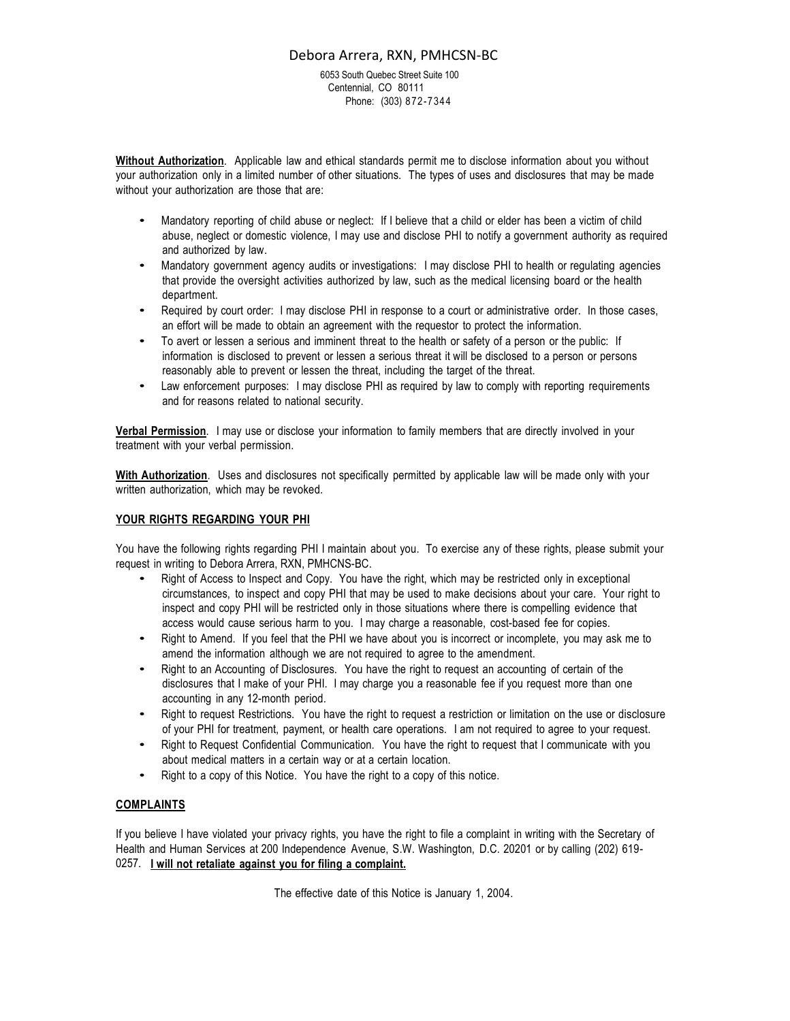6053 South Quebec Street Suite 100 Centennial, CO 80111 Phone: (303) 872-7344

**Without Authorization**. Applicable law and ethical standards permit me to disclose information about you without your authorization only in a limited number of other situations. The types of uses and disclosures that may be made without your authorization are those that are:

- Mandatory reporting of child abuse or neglect: If I believe that a child or elder has been a victim of child abuse, neglect or domestic violence, I may use and disclose PHI to notify a government authority as required and authorized by law.
- Mandatory government agency audits or investigations: I may disclose PHI to health or regulating agencies that provide the oversight activities authorized by law, such as the medical licensing board or the health department.
- Required by court order: I may disclose PHI in response to a court or administrative order. In those cases, an effort will be made to obtain an agreement with the requestor to protect the information.
- To avert or lessen a serious and imminent threat to the health or safety of a person or the public: If information is disclosed to prevent or lessen a serious threat it will be disclosed to a person or persons reasonably able to prevent or lessen the threat, including the target of the threat.
- Law enforcement purposes: I may disclose PHI as required by law to comply with reporting requirements and for reasons related to national security.

**Verbal Permission**. I may use or disclose your information to family members that are directly involved in your treatment with your verbal permission.

**With Authorization**. Uses and disclosures not specifically permitted by applicable law will be made only with your written authorization, which may be revoked.

#### **YOUR RIGHTS REGARDING YOUR PHI**

You have the following rights regarding PHI I maintain about you. To exercise any of these rights, please submit your request in writing to Debora Arrera, RXN, PMHCNS-BC.

- Right of Access to Inspect and Copy. You have the right, which may be restricted only in exceptional circumstances, to inspect and copy PHI that may be used to make decisions about your care. Your right to inspect and copy PHI will be restricted only in those situations where there is compelling evidence that access would cause serious harm to you. I may charge a reasonable, cost-based fee for copies.
- Right to Amend. If you feel that the PHI we have about you is incorrect or incomplete, you may ask me to amend the information although we are not required to agree to the amendment.
- Right to an Accounting of Disclosures. You have the right to request an accounting of certain of the disclosures that I make of your PHI. I may charge you a reasonable fee if you request more than one accounting in any 12-month period.
- Right to request Restrictions. You have the right to request a restriction or limitation on the use or disclosure of your PHI for treatment, payment, or health care operations. I am not required to agree to your request.
- Right to Request Confidential Communication. You have the right to request that I communicate with you about medical matters in a certain way or at a certain location.
- Right to a copy of this Notice. You have the right to a copy of this notice.

## **COMPLAINTS**

If you believe I have violated your privacy rights, you have the right to file a complaint in writing with the Secretary of Health and Human Services at 200 Independence Avenue, S.W. Washington, D.C. 20201 or by calling (202) 619- 0257. **I will not retaliate against you for filing a complaint.**

The effective date of this Notice is January 1, 2004.